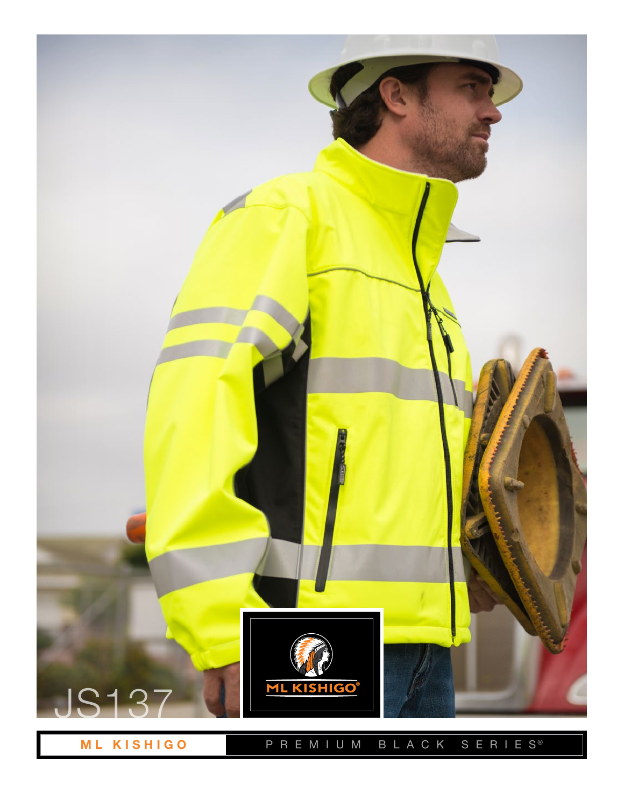